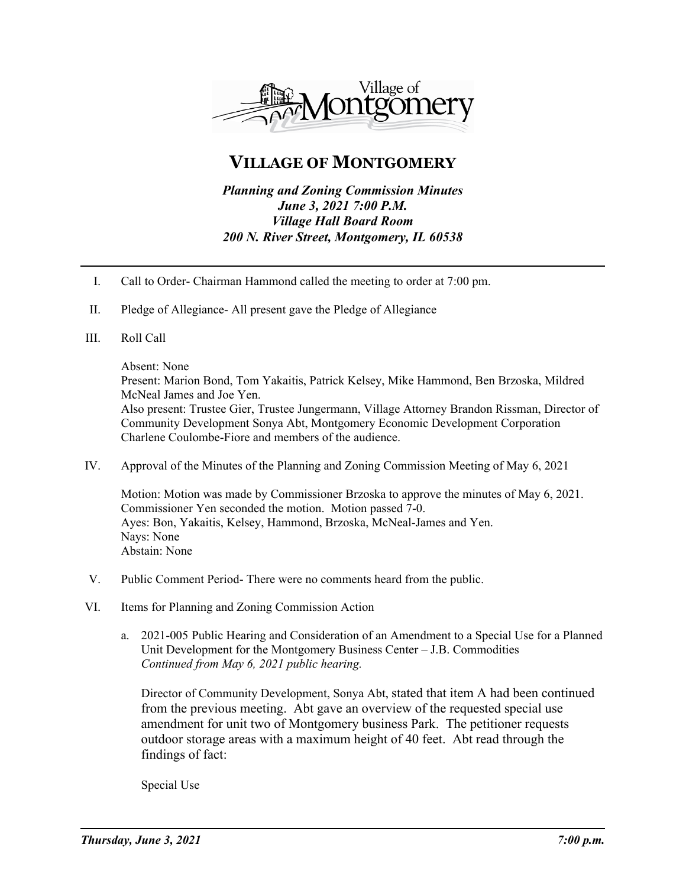

## **VILLAGE OF MONTGOMERY**

*Planning and Zoning Commission Minutes June 3, 2021 7:00 P.M. Village Hall Board Room 200 N. River Street, Montgomery, IL 60538* 

- I. Call to Order- Chairman Hammond called the meeting to order at 7:00 pm.
- II. Pledge of Allegiance- All present gave the Pledge of Allegiance
- III. Roll Call

## Absent: None

Present: Marion Bond, Tom Yakaitis, Patrick Kelsey, Mike Hammond, Ben Brzoska, Mildred McNeal James and Joe Yen. Also present: Trustee Gier, Trustee Jungermann, Village Attorney Brandon Rissman, Director of Community Development Sonya Abt, Montgomery Economic Development Corporation Charlene Coulombe-Fiore and members of the audience.

IV. Approval of the Minutes of the Planning and Zoning Commission Meeting of May 6, 2021

Motion: Motion was made by Commissioner Brzoska to approve the minutes of May 6, 2021. Commissioner Yen seconded the motion. Motion passed 7-0. Ayes: Bon, Yakaitis, Kelsey, Hammond, Brzoska, McNeal-James and Yen. Nays: None Abstain: None

- V. Public Comment Period- There were no comments heard from the public.
- VI. Items for Planning and Zoning Commission Action
	- a. 2021-005 Public Hearing and Consideration of an Amendment to a Special Use for a Planned Unit Development for the Montgomery Business Center – J.B. Commodities *Continued from May 6, 2021 public hearing.*

Director of Community Development, Sonya Abt, stated that item A had been continued from the previous meeting. Abt gave an overview of the requested special use amendment for unit two of Montgomery business Park. The petitioner requests outdoor storage areas with a maximum height of 40 feet. Abt read through the findings of fact:

Special Use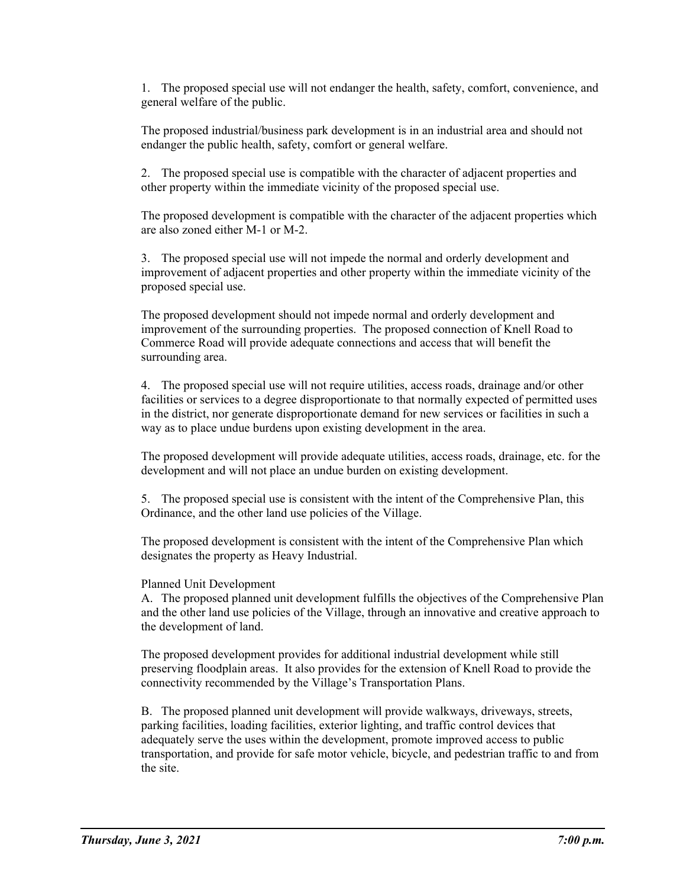1. The proposed special use will not endanger the health, safety, comfort, convenience, and general welfare of the public.

The proposed industrial/business park development is in an industrial area and should not endanger the public health, safety, comfort or general welfare.

2. The proposed special use is compatible with the character of adjacent properties and other property within the immediate vicinity of the proposed special use.

The proposed development is compatible with the character of the adjacent properties which are also zoned either M-1 or M-2.

3. The proposed special use will not impede the normal and orderly development and improvement of adjacent properties and other property within the immediate vicinity of the proposed special use.

The proposed development should not impede normal and orderly development and improvement of the surrounding properties. The proposed connection of Knell Road to Commerce Road will provide adequate connections and access that will benefit the surrounding area.

4. The proposed special use will not require utilities, access roads, drainage and/or other facilities or services to a degree disproportionate to that normally expected of permitted uses in the district, nor generate disproportionate demand for new services or facilities in such a way as to place undue burdens upon existing development in the area.

The proposed development will provide adequate utilities, access roads, drainage, etc. for the development and will not place an undue burden on existing development.

5. The proposed special use is consistent with the intent of the Comprehensive Plan, this Ordinance, and the other land use policies of the Village.

The proposed development is consistent with the intent of the Comprehensive Plan which designates the property as Heavy Industrial.

## Planned Unit Development

A. The proposed planned unit development fulfills the objectives of the Comprehensive Plan and the other land use policies of the Village, through an innovative and creative approach to the development of land.

The proposed development provides for additional industrial development while still preserving floodplain areas. It also provides for the extension of Knell Road to provide the connectivity recommended by the Village's Transportation Plans.

B. The proposed planned unit development will provide walkways, driveways, streets, parking facilities, loading facilities, exterior lighting, and traffic control devices that adequately serve the uses within the development, promote improved access to public transportation, and provide for safe motor vehicle, bicycle, and pedestrian traffic to and from the site.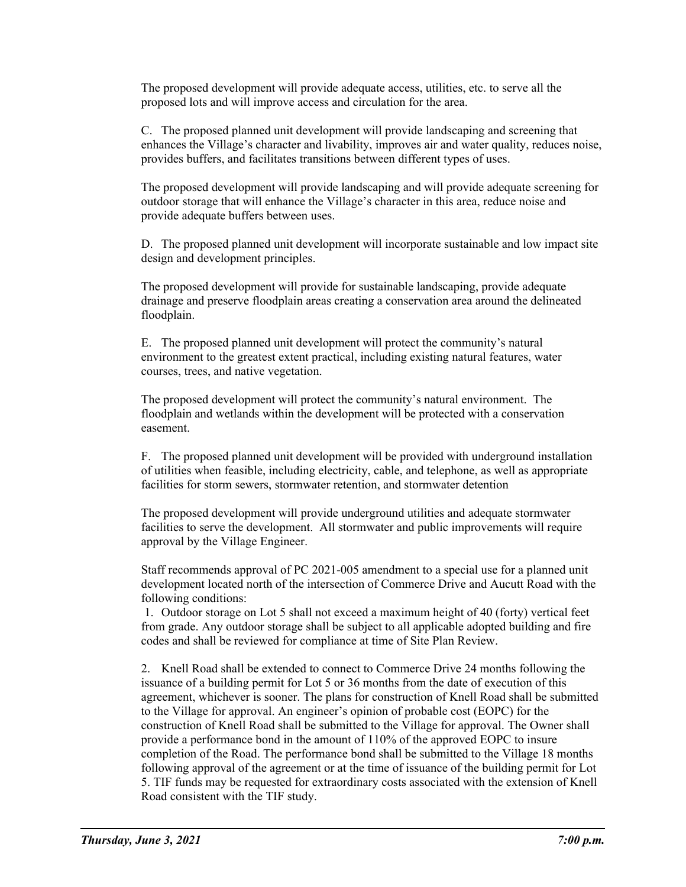The proposed development will provide adequate access, utilities, etc. to serve all the proposed lots and will improve access and circulation for the area.

C. The proposed planned unit development will provide landscaping and screening that enhances the Village's character and livability, improves air and water quality, reduces noise, provides buffers, and facilitates transitions between different types of uses.

The proposed development will provide landscaping and will provide adequate screening for outdoor storage that will enhance the Village's character in this area, reduce noise and provide adequate buffers between uses.

D. The proposed planned unit development will incorporate sustainable and low impact site design and development principles.

The proposed development will provide for sustainable landscaping, provide adequate drainage and preserve floodplain areas creating a conservation area around the delineated floodplain.

E. The proposed planned unit development will protect the community's natural environment to the greatest extent practical, including existing natural features, water courses, trees, and native vegetation.

The proposed development will protect the community's natural environment. The floodplain and wetlands within the development will be protected with a conservation easement.

F. The proposed planned unit development will be provided with underground installation of utilities when feasible, including electricity, cable, and telephone, as well as appropriate facilities for storm sewers, stormwater retention, and stormwater detention

The proposed development will provide underground utilities and adequate stormwater facilities to serve the development. All stormwater and public improvements will require approval by the Village Engineer.

Staff recommends approval of PC 2021-005 amendment to a special use for a planned unit development located north of the intersection of Commerce Drive and Aucutt Road with the following conditions:

1. Outdoor storage on Lot 5 shall not exceed a maximum height of 40 (forty) vertical feet from grade. Any outdoor storage shall be subject to all applicable adopted building and fire codes and shall be reviewed for compliance at time of Site Plan Review.

2. Knell Road shall be extended to connect to Commerce Drive 24 months following the issuance of a building permit for Lot 5 or 36 months from the date of execution of this agreement, whichever is sooner. The plans for construction of Knell Road shall be submitted to the Village for approval. An engineer's opinion of probable cost (EOPC) for the construction of Knell Road shall be submitted to the Village for approval. The Owner shall provide a performance bond in the amount of 110% of the approved EOPC to insure completion of the Road. The performance bond shall be submitted to the Village 18 months following approval of the agreement or at the time of issuance of the building permit for Lot 5. TIF funds may be requested for extraordinary costs associated with the extension of Knell Road consistent with the TIF study.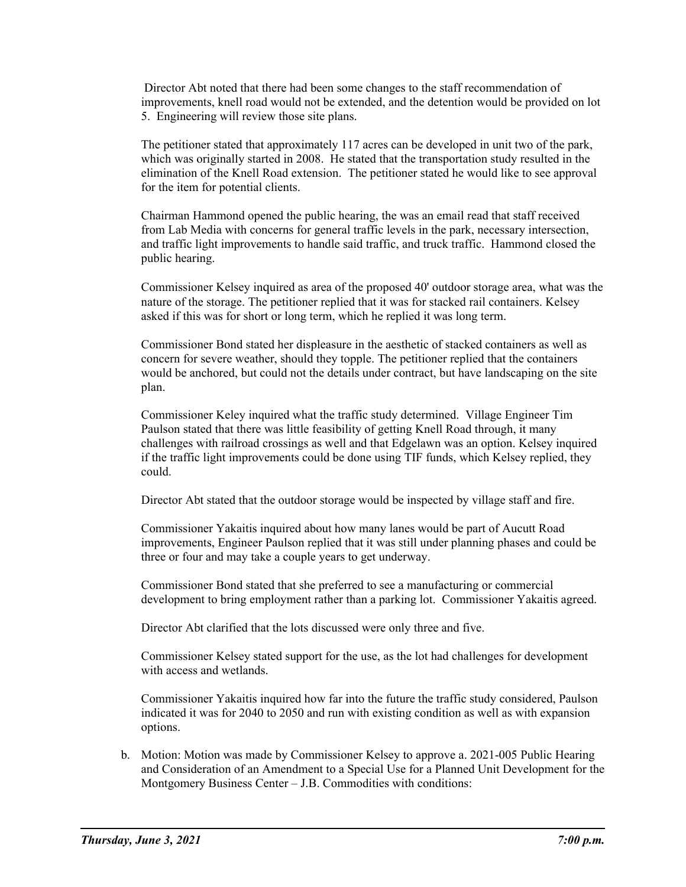Director Abt noted that there had been some changes to the staff recommendation of improvements, knell road would not be extended, and the detention would be provided on lot 5. Engineering will review those site plans.

The petitioner stated that approximately 117 acres can be developed in unit two of the park, which was originally started in 2008. He stated that the transportation study resulted in the elimination of the Knell Road extension. The petitioner stated he would like to see approval for the item for potential clients.

Chairman Hammond opened the public hearing, the was an email read that staff received from Lab Media with concerns for general traffic levels in the park, necessary intersection, and traffic light improvements to handle said traffic, and truck traffic. Hammond closed the public hearing.

Commissioner Kelsey inquired as area of the proposed 40' outdoor storage area, what was the nature of the storage. The petitioner replied that it was for stacked rail containers. Kelsey asked if this was for short or long term, which he replied it was long term.

Commissioner Bond stated her displeasure in the aesthetic of stacked containers as well as concern for severe weather, should they topple. The petitioner replied that the containers would be anchored, but could not the details under contract, but have landscaping on the site plan.

Commissioner Keley inquired what the traffic study determined. Village Engineer Tim Paulson stated that there was little feasibility of getting Knell Road through, it many challenges with railroad crossings as well and that Edgelawn was an option. Kelsey inquired if the traffic light improvements could be done using TIF funds, which Kelsey replied, they could.

Director Abt stated that the outdoor storage would be inspected by village staff and fire.

Commissioner Yakaitis inquired about how many lanes would be part of Aucutt Road improvements, Engineer Paulson replied that it was still under planning phases and could be three or four and may take a couple years to get underway.

Commissioner Bond stated that she preferred to see a manufacturing or commercial development to bring employment rather than a parking lot. Commissioner Yakaitis agreed.

Director Abt clarified that the lots discussed were only three and five.

Commissioner Kelsey stated support for the use, as the lot had challenges for development with access and wetlands.

Commissioner Yakaitis inquired how far into the future the traffic study considered, Paulson indicated it was for 2040 to 2050 and run with existing condition as well as with expansion options.

b. Motion: Motion was made by Commissioner Kelsey to approve a. 2021-005 Public Hearing and Consideration of an Amendment to a Special Use for a Planned Unit Development for the Montgomery Business Center – J.B. Commodities with conditions: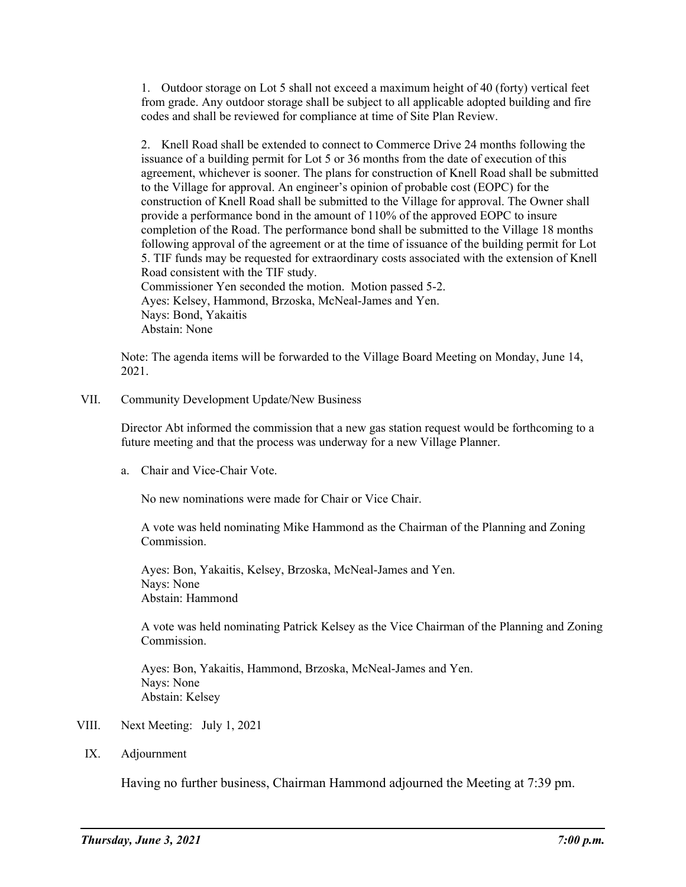1. Outdoor storage on Lot 5 shall not exceed a maximum height of 40 (forty) vertical feet from grade. Any outdoor storage shall be subject to all applicable adopted building and fire codes and shall be reviewed for compliance at time of Site Plan Review.

2. Knell Road shall be extended to connect to Commerce Drive 24 months following the issuance of a building permit for Lot 5 or 36 months from the date of execution of this agreement, whichever is sooner. The plans for construction of Knell Road shall be submitted to the Village for approval. An engineer's opinion of probable cost (EOPC) for the construction of Knell Road shall be submitted to the Village for approval. The Owner shall provide a performance bond in the amount of 110% of the approved EOPC to insure completion of the Road. The performance bond shall be submitted to the Village 18 months following approval of the agreement or at the time of issuance of the building permit for Lot 5. TIF funds may be requested for extraordinary costs associated with the extension of Knell Road consistent with the TIF study. Commissioner Yen seconded the motion. Motion passed 5-2. Ayes: Kelsey, Hammond, Brzoska, McNeal-James and Yen. Nays: Bond, Yakaitis

Abstain: None

Note: The agenda items will be forwarded to the Village Board Meeting on Monday, June 14, 2021.

VII. Community Development Update/New Business

Director Abt informed the commission that a new gas station request would be forthcoming to a future meeting and that the process was underway for a new Village Planner.

a. Chair and Vice-Chair Vote.

No new nominations were made for Chair or Vice Chair.

A vote was held nominating Mike Hammond as the Chairman of the Planning and Zoning Commission.

Ayes: Bon, Yakaitis, Kelsey, Brzoska, McNeal-James and Yen. Nays: None Abstain: Hammond

A vote was held nominating Patrick Kelsey as the Vice Chairman of the Planning and Zoning Commission.

Ayes: Bon, Yakaitis, Hammond, Brzoska, McNeal-James and Yen. Nays: None Abstain: Kelsey

- VIII. Next Meeting: July 1, 2021
	- IX. Adjournment

Having no further business, Chairman Hammond adjourned the Meeting at 7:39 pm.